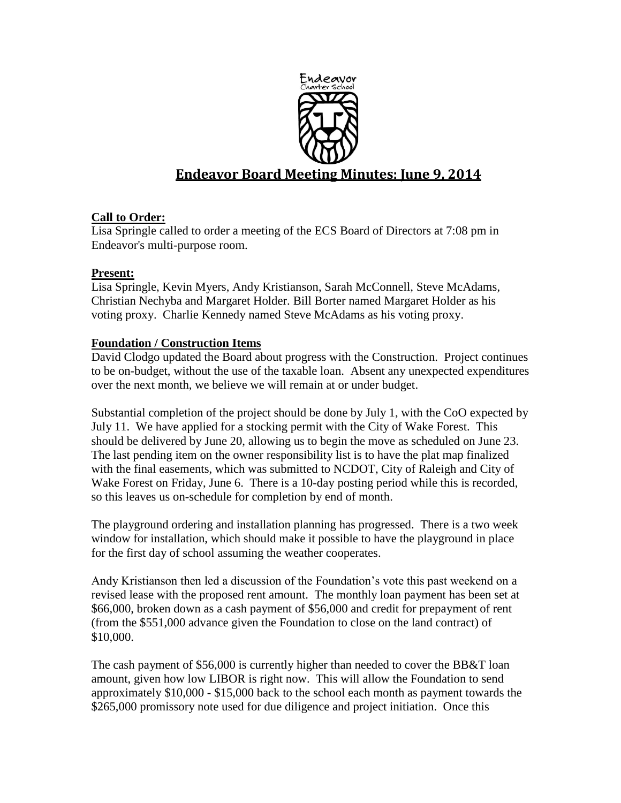

# **Endeavor Board Meeting Minutes: June 9, 2014**

## **Call to Order:**

Lisa Springle called to order a meeting of the ECS Board of Directors at 7:08 pm in Endeavor's multi-purpose room.

## **Present:**

Lisa Springle, Kevin Myers, Andy Kristianson, Sarah McConnell, Steve McAdams, Christian Nechyba and Margaret Holder. Bill Borter named Margaret Holder as his voting proxy. Charlie Kennedy named Steve McAdams as his voting proxy.

## **Foundation / Construction Items**

David Clodgo updated the Board about progress with the Construction. Project continues to be on-budget, without the use of the taxable loan. Absent any unexpected expenditures over the next month, we believe we will remain at or under budget.

Substantial completion of the project should be done by July 1, with the CoO expected by July 11. We have applied for a stocking permit with the City of Wake Forest. This should be delivered by June 20, allowing us to begin the move as scheduled on June 23. The last pending item on the owner responsibility list is to have the plat map finalized with the final easements, which was submitted to NCDOT, City of Raleigh and City of Wake Forest on Friday, June 6. There is a 10-day posting period while this is recorded, so this leaves us on-schedule for completion by end of month.

The playground ordering and installation planning has progressed. There is a two week window for installation, which should make it possible to have the playground in place for the first day of school assuming the weather cooperates.

Andy Kristianson then led a discussion of the Foundation's vote this past weekend on a revised lease with the proposed rent amount. The monthly loan payment has been set at \$66,000, broken down as a cash payment of \$56,000 and credit for prepayment of rent (from the \$551,000 advance given the Foundation to close on the land contract) of \$10,000.

The cash payment of \$56,000 is currently higher than needed to cover the BB&T loan amount, given how low LIBOR is right now. This will allow the Foundation to send approximately \$10,000 - \$15,000 back to the school each month as payment towards the \$265,000 promissory note used for due diligence and project initiation. Once this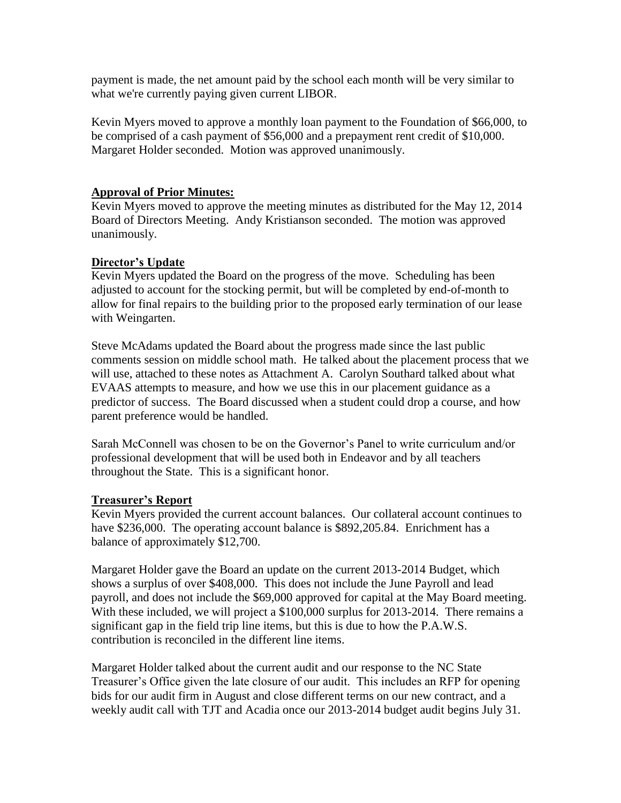payment is made, the net amount paid by the school each month will be very similar to what we're currently paying given current LIBOR.

Kevin Myers moved to approve a monthly loan payment to the Foundation of \$66,000, to be comprised of a cash payment of \$56,000 and a prepayment rent credit of \$10,000. Margaret Holder seconded. Motion was approved unanimously.

#### **Approval of Prior Minutes:**

Kevin Myers moved to approve the meeting minutes as distributed for the May 12, 2014 Board of Directors Meeting. Andy Kristianson seconded. The motion was approved unanimously.

#### **Director's Update**

Kevin Myers updated the Board on the progress of the move. Scheduling has been adjusted to account for the stocking permit, but will be completed by end-of-month to allow for final repairs to the building prior to the proposed early termination of our lease with Weingarten.

Steve McAdams updated the Board about the progress made since the last public comments session on middle school math. He talked about the placement process that we will use, attached to these notes as Attachment A. Carolyn Southard talked about what EVAAS attempts to measure, and how we use this in our placement guidance as a predictor of success. The Board discussed when a student could drop a course, and how parent preference would be handled.

Sarah McConnell was chosen to be on the Governor's Panel to write curriculum and/or professional development that will be used both in Endeavor and by all teachers throughout the State. This is a significant honor.

#### **Treasurer's Report**

Kevin Myers provided the current account balances. Our collateral account continues to have \$236,000. The operating account balance is \$892,205.84. Enrichment has a balance of approximately \$12,700.

Margaret Holder gave the Board an update on the current 2013-2014 Budget, which shows a surplus of over \$408,000. This does not include the June Payroll and lead payroll, and does not include the \$69,000 approved for capital at the May Board meeting. With these included, we will project a \$100,000 surplus for 2013-2014. There remains a significant gap in the field trip line items, but this is due to how the P.A.W.S. contribution is reconciled in the different line items.

Margaret Holder talked about the current audit and our response to the NC State Treasurer's Office given the late closure of our audit. This includes an RFP for opening bids for our audit firm in August and close different terms on our new contract, and a weekly audit call with TJT and Acadia once our 2013-2014 budget audit begins July 31.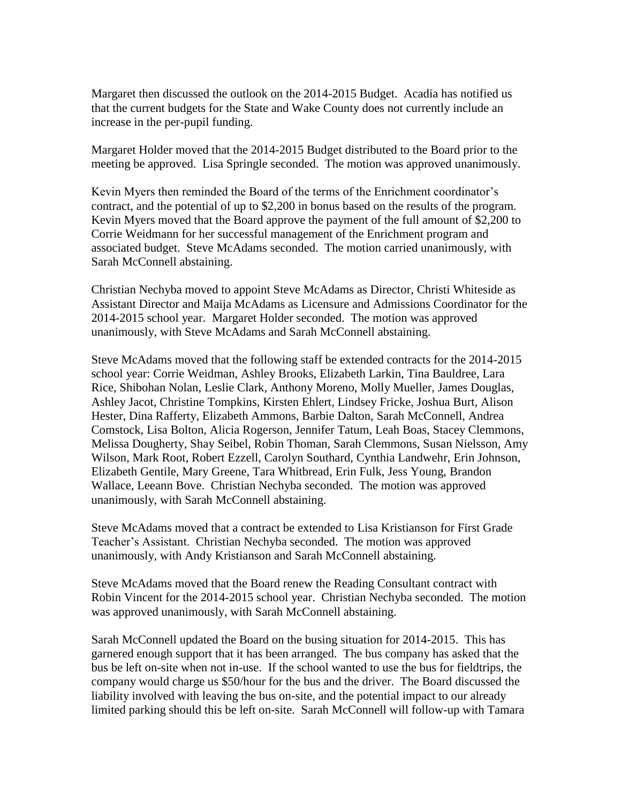Margaret then discussed the outlook on the 2014-2015 Budget. Acadia has notified us that the current budgets for the State and Wake County does not currently include an increase in the per-pupil funding.

Margaret Holder moved that the 2014-2015 Budget distributed to the Board prior to the meeting be approved. Lisa Springle seconded. The motion was approved unanimously.

Kevin Myers then reminded the Board of the terms of the Enrichment coordinator's contract, and the potential of up to \$2,200 in bonus based on the results of the program. Kevin Myers moved that the Board approve the payment of the full amount of \$2,200 to Corrie Weidmann for her successful management of the Enrichment program and associated budget. Steve McAdams seconded. The motion carried unanimously, with Sarah McConnell abstaining.

Christian Nechyba moved to appoint Steve McAdams as Director, Christi Whiteside as Assistant Director and Maija McAdams as Licensure and Admissions Coordinator for the 2014-2015 school year. Margaret Holder seconded. The motion was approved unanimously, with Steve McAdams and Sarah McConnell abstaining.

Steve McAdams moved that the following staff be extended contracts for the 2014-2015 school year: Corrie Weidman, Ashley Brooks, Elizabeth Larkin, Tina Bauldree, Lara Rice, Shibohan Nolan, Leslie Clark, Anthony Moreno, Molly Mueller, James Douglas, Ashley Jacot, Christine Tompkins, Kirsten Ehlert, Lindsey Fricke, Joshua Burt, Alison Hester, Dina Rafferty, Elizabeth Ammons, Barbie Dalton, Sarah McConnell, Andrea Comstock, Lisa Bolton, Alicia Rogerson, Jennifer Tatum, Leah Boas, Stacey Clemmons, Melissa Dougherty, Shay Seibel, Robin Thoman, Sarah Clemmons, Susan Nielsson, Amy Wilson, Mark Root, Robert Ezzell, Carolyn Southard, Cynthia Landwehr, Erin Johnson, Elizabeth Gentile, Mary Greene, Tara Whitbread, Erin Fulk, Jess Young, Brandon Wallace, Leeann Bove. Christian Nechyba seconded. The motion was approved unanimously, with Sarah McConnell abstaining.

Steve McAdams moved that a contract be extended to Lisa Kristianson for First Grade Teacher's Assistant. Christian Nechyba seconded. The motion was approved unanimously, with Andy Kristianson and Sarah McConnell abstaining.

Steve McAdams moved that the Board renew the Reading Consultant contract with Robin Vincent for the 2014-2015 school year. Christian Nechyba seconded. The motion was approved unanimously, with Sarah McConnell abstaining.

Sarah McConnell updated the Board on the busing situation for 2014-2015. This has garnered enough support that it has been arranged. The bus company has asked that the bus be left on-site when not in-use. If the school wanted to use the bus for fieldtrips, the company would charge us \$50/hour for the bus and the driver. The Board discussed the liability involved with leaving the bus on-site, and the potential impact to our already limited parking should this be left on-site. Sarah McConnell will follow-up with Tamara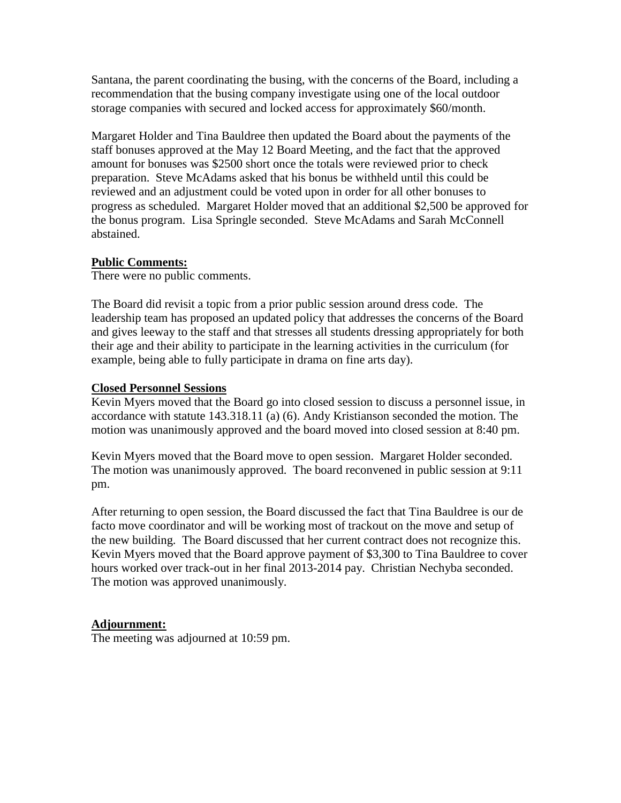Santana, the parent coordinating the busing, with the concerns of the Board, including a recommendation that the busing company investigate using one of the local outdoor storage companies with secured and locked access for approximately \$60/month.

Margaret Holder and Tina Bauldree then updated the Board about the payments of the staff bonuses approved at the May 12 Board Meeting, and the fact that the approved amount for bonuses was \$2500 short once the totals were reviewed prior to check preparation. Steve McAdams asked that his bonus be withheld until this could be reviewed and an adjustment could be voted upon in order for all other bonuses to progress as scheduled. Margaret Holder moved that an additional \$2,500 be approved for the bonus program. Lisa Springle seconded. Steve McAdams and Sarah McConnell abstained.

## **Public Comments:**

There were no public comments.

The Board did revisit a topic from a prior public session around dress code. The leadership team has proposed an updated policy that addresses the concerns of the Board and gives leeway to the staff and that stresses all students dressing appropriately for both their age and their ability to participate in the learning activities in the curriculum (for example, being able to fully participate in drama on fine arts day).

## **Closed Personnel Sessions**

Kevin Myers moved that the Board go into closed session to discuss a personnel issue, in accordance with statute 143.318.11 (a) (6). Andy Kristianson seconded the motion. The motion was unanimously approved and the board moved into closed session at 8:40 pm.

Kevin Myers moved that the Board move to open session. Margaret Holder seconded. The motion was unanimously approved. The board reconvened in public session at 9:11 pm.

After returning to open session, the Board discussed the fact that Tina Bauldree is our de facto move coordinator and will be working most of trackout on the move and setup of the new building. The Board discussed that her current contract does not recognize this. Kevin Myers moved that the Board approve payment of \$3,300 to Tina Bauldree to cover hours worked over track-out in her final 2013-2014 pay. Christian Nechyba seconded. The motion was approved unanimously.

# **Adjournment:**

The meeting was adjourned at 10:59 pm.